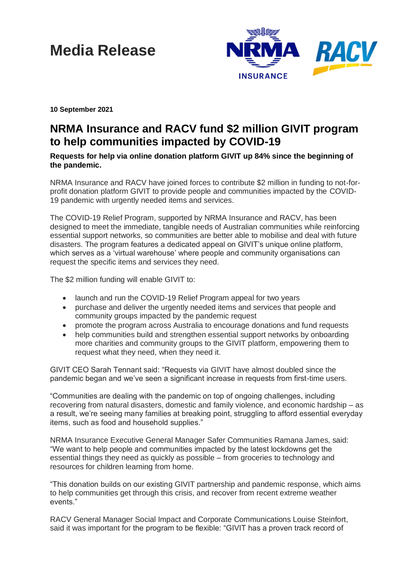## **Media Release**



**10 September 2021**

## **NRMA Insurance and RACV fund \$2 million GIVIT program to help communities impacted by COVID-19**

**Requests for help via online donation platform GIVIT up 84% since the beginning of the pandemic.**

NRMA Insurance and RACV have joined forces to contribute \$2 million in funding to not-forprofit donation platform GIVIT to provide people and communities impacted by the COVID-19 pandemic with urgently needed items and services.

The COVID-19 Relief Program, supported by NRMA Insurance and RACV, has been designed to meet the immediate, tangible needs of Australian communities while reinforcing essential support networks, so communities are better able to mobilise and deal with future disasters. The program features a dedicated appeal on GIVIT's unique online platform, which serves as a 'virtual warehouse' where people and community organisations can request the specific items and services they need.

The \$2 million funding will enable GIVIT to:

- launch and run the COVID-19 Relief Program appeal for two years
- purchase and deliver the urgently needed items and services that people and community groups impacted by the pandemic request
- promote the program across Australia to encourage donations and fund requests
- help communities build and strengthen essential support networks by onboarding more charities and community groups to the GIVIT platform, empowering them to request what they need, when they need it.

GIVIT CEO Sarah Tennant said: "Requests via GIVIT have almost doubled since the pandemic began and we've seen a significant increase in requests from first-time users.

"Communities are dealing with the pandemic on top of ongoing challenges, including recovering from natural disasters, domestic and family violence, and economic hardship – as a result, we're seeing many families at breaking point, struggling to afford essential everyday items, such as food and household supplies."

NRMA Insurance Executive General Manager Safer Communities Ramana James, said: "We want to help people and communities impacted by the latest lockdowns get the essential things they need as quickly as possible – from groceries to technology and resources for children learning from home.

"This donation builds on our existing GIVIT partnership and pandemic response, which aims to help communities get through this crisis, and recover from recent extreme weather events."

RACV General Manager Social Impact and Corporate Communications Louise Steinfort, said it was important for the program to be flexible: "GIVIT has a proven track record of